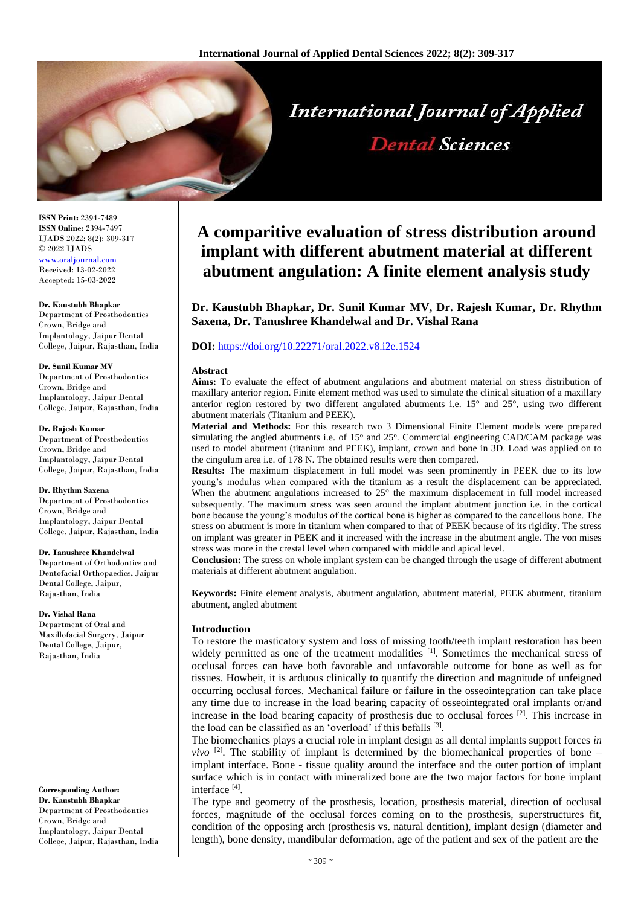

**ISSN Print:** 2394-7489 **ISSN Online:** 2394-7497 IJADS 2022; 8(2): 309-317 © 2022 IJADS [www.oraljournal.com](http://www.oraljournal.com/) Received: 13-02-2022 Accepted: 15-03-2022

#### **Dr. Kaustubh Bhapkar**

Department of Prosthodontics Crown, Bridge and Implantology, Jaipur Dental College, Jaipur, Rajasthan, India

#### **Dr. Sunil Kumar MV**

Department of Prosthodontics Crown, Bridge and Implantology, Jaipur Dental College, Jaipur, Rajasthan, India

#### **Dr. Rajesh Kumar**

Department of Prosthodontics Crown, Bridge and Implantology, Jaipur Dental College, Jaipur, Rajasthan, India

#### **Dr. Rhythm Saxena**

Department of Prosthodontics Crown, Bridge and Implantology, Jaipur Dental College, Jaipur, Rajasthan, India

#### **Dr. Tanushree Khandelwal**

Department of Orthodontics and Dentofacial Orthopaedics, Jaipur Dental College, Jaipur, Rajasthan, India

#### **Dr. Vishal Rana**

Department of Oral and Maxillofacial Surgery, Jaipur Dental College, Jaipur, Rajasthan, India

## **Corresponding Author: Dr. Kaustubh Bhapkar**

Department of Prosthodontics Crown, Bridge and Implantology, Jaipur Dental College, Jaipur, Rajasthan, India

# **A comparitive evaluation of stress distribution around implant with different abutment material at different abutment angulation: A finite element analysis study**

**Dental Sciences** 

**Dr. Kaustubh Bhapkar, Dr. Sunil Kumar MV, Dr. Rajesh Kumar, Dr. Rhythm Saxena, Dr. Tanushree Khandelwal and Dr. Vishal Rana**

# **DOI:** <https://doi.org/10.22271/oral.2022.v8.i2e.1524>

#### **Abstract**

**Aims:** To evaluate the effect of abutment angulations and abutment material on stress distribution of maxillary anterior region. Finite element method was used to simulate the clinical situation of a maxillary anterior region restored by two different angulated abutments i.e. 15° and 25°, using two different abutment materials (Titanium and PEEK).

**Material and Methods:** For this research two 3 Dimensional Finite Element models were prepared simulating the angled abutments i.e. of 15° and 25°. Commercial engineering CAD/CAM package was used to model abutment (titanium and PEEK), implant, crown and bone in 3D. Load was applied on to the cingulum area i.e. of 178 N. The obtained results were then compared.

**Results:** The maximum displacement in full model was seen prominently in PEEK due to its low young's modulus when compared with the titanium as a result the displacement can be appreciated. When the abutment angulations increased to 25° the maximum displacement in full model increased subsequently. The maximum stress was seen around the implant abutment junction i.e. in the cortical bone because the young's modulus of the cortical bone is higher as compared to the cancellous bone. The stress on abutment is more in titanium when compared to that of PEEK because of its rigidity. The stress on implant was greater in PEEK and it increased with the increase in the abutment angle. The von mises stress was more in the crestal level when compared with middle and apical level.

**Conclusion:** The stress on whole implant system can be changed through the usage of different abutment materials at different abutment angulation.

**Keywords:** Finite element analysis, abutment angulation, abutment material, PEEK abutment, titanium abutment, angled abutment

## **Introduction**

To restore the masticatory system and loss of missing tooth/teeth implant restoration has been widely permitted as one of the treatment modalities [1]. Sometimes the mechanical stress of occlusal forces can have both favorable and unfavorable outcome for bone as well as for tissues. Howbeit, it is arduous clinically to quantify the direction and magnitude of unfeigned occurring occlusal forces. Mechanical failure or failure in the osseointegration can take place any time due to increase in the load bearing capacity of osseointegrated oral implants or/and increase in the load bearing capacity of prosthesis due to occlusal forces [2] . This increase in the load can be classified as an 'overload' if this befalls [3].

The biomechanics plays a crucial role in implant design as all dental implants support forces *in vivo*  $[2]$ . The stability of implant is determined by the biomechanical properties of bone – implant interface. Bone - tissue quality around the interface and the outer portion of implant surface which is in contact with mineralized bone are the two major factors for bone implant interface [4] .

The type and geometry of the prosthesis, location, prosthesis material, direction of occlusal forces, magnitude of the occlusal forces coming on to the prosthesis, superstructures fit, condition of the opposing arch (prosthesis vs. natural dentition), implant design (diameter and length), bone density, mandibular deformation, age of the patient and sex of the patient are the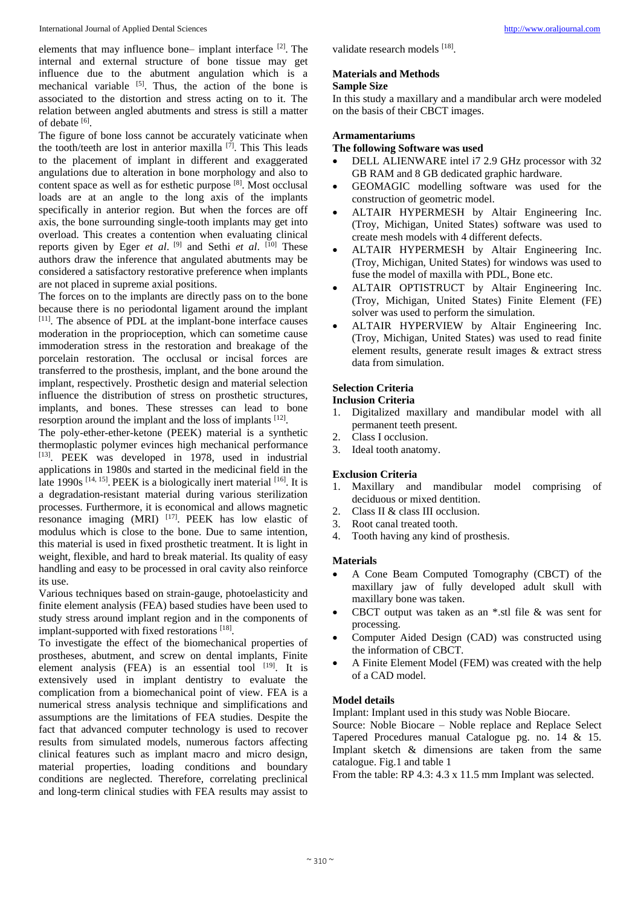elements that may influence bone– implant interface <sup>[2]</sup>. The internal and external structure of bone tissue may get influence due to the abutment angulation which is a mechanical variable <sup>[5]</sup>. Thus, the action of the bone is associated to the distortion and stress acting on to it. The relation between angled abutments and stress is still a matter of debate [6].

The figure of bone loss cannot be accurately vaticinate when the tooth/teeth are lost in anterior maxilla<sup>[7]</sup>. This This leads to the placement of implant in different and exaggerated angulations due to alteration in bone morphology and also to content space as well as for esthetic purpose<sup>[8]</sup>. Most occlusal loads are at an angle to the long axis of the implants specifically in anterior region. But when the forces are off axis, the bone surrounding single-tooth implants may get into overload. This creates a contention when evaluating clinical reports given by Eger *et al.* <sup>[9]</sup> and Sethi *et al.* <sup>[10]</sup> These authors draw the inference that angulated abutments may be considered a satisfactory restorative preference when implants are not placed in supreme axial positions.

The forces on to the implants are directly pass on to the bone because there is no periodontal ligament around the implant [11] . The absence of PDL at the implant-bone interface causes moderation in the proprioception, which can sometime cause immoderation stress in the restoration and breakage of the porcelain restoration. The occlusal or incisal forces are transferred to the prosthesis, implant, and the bone around the implant, respectively. Prosthetic design and material selection influence the distribution of stress on prosthetic structures, implants, and bones. These stresses can lead to bone resorption around the implant and the loss of implants [12].

The poly-ether-ether-ketone (PEEK) material is a synthetic thermoplastic polymer evinces high mechanical performance [13] . PEEK was developed in 1978, used in industrial applications in 1980s and started in the medicinal field in the late 1990s  $[14, 15]$ . PEEK is a biologically inert material  $[16]$ . It is a degradation-resistant material during various sterilization processes. Furthermore, it is economical and allows magnetic resonance imaging  $(MRI)$   $[17]$ . PEEK has low elastic of modulus which is close to the bone. Due to same intention, this material is used in fixed prosthetic treatment. It is light in weight, flexible, and hard to break material. Its quality of easy handling and easy to be processed in oral cavity also reinforce its use.

Various techniques based on strain-gauge, photoelasticity and finite element analysis (FEA) based studies have been used to study stress around implant region and in the components of implant-supported with fixed restorations [18].

To investigate the effect of the biomechanical properties of prostheses, abutment, and screw on dental implants, Finite element analysis (FEA) is an essential tool  $[19]$ . It is extensively used in implant dentistry to evaluate the complication from a biomechanical point of view. FEA is a numerical stress analysis technique and simplifications and assumptions are the limitations of FEA studies. Despite the fact that advanced computer technology is used to recover results from simulated models, numerous factors affecting clinical features such as implant macro and micro design, material properties, loading conditions and boundary conditions are neglected. Therefore, correlating preclinical and long-term clinical studies with FEA results may assist to

validate research models [18].

# **Materials and Methods Sample Size**

In this study a maxillary and a mandibular arch were modeled on the basis of their CBCT images.

# **Armamentariums**

**The following Software was used**

- DELL ALIENWARE intel i7 2.9 GHz processor with 32 GB RAM and 8 GB dedicated graphic hardware.
- GEOMAGIC modelling software was used for the construction of geometric model.
- ALTAIR HYPERMESH by Altair Engineering Inc. (Troy, Michigan, United States) software was used to create mesh models with 4 different defects.
- ALTAIR HYPERMESH by Altair Engineering Inc. (Troy, Michigan, United States) for windows was used to fuse the model of maxilla with PDL, Bone etc.
- ALTAIR OPTISTRUCT by Altair Engineering Inc. (Troy, Michigan, United States) Finite Element (FE) solver was used to perform the simulation.
- ALTAIR HYPERVIEW by Altair Engineering Inc. (Troy, Michigan, United States) was used to read finite element results, generate result images & extract stress data from simulation.

# **Selection Criteria**

# **Inclusion Criteria**

- 1. Digitalized maxillary and mandibular model with all permanent teeth present.
- 2. Class I occlusion.
- 3. Ideal tooth anatomy.

# **Exclusion Criteria**

- 1. Maxillary and mandibular model comprising of deciduous or mixed dentition.
- 2. Class II & class III occlusion.
- 3. Root canal treated tooth.
- 4. Tooth having any kind of prosthesis.

# **Materials**

- A Cone Beam Computed Tomography (CBCT) of the maxillary jaw of fully developed adult skull with maxillary bone was taken.
- CBCT output was taken as an \*.stl file & was sent for processing.
- Computer Aided Design (CAD) was constructed using the information of CBCT.
- A Finite Element Model (FEM) was created with the help of a CAD model.

# **Model details**

Implant: Implant used in this study was Noble Biocare.

Source: Noble Biocare – Noble replace and Replace Select Tapered Procedures manual Catalogue pg. no. 14 & 15. Implant sketch & dimensions are taken from the same catalogue. Fig.1 and table 1

From the table: RP 4.3: 4.3 x 11.5 mm Implant was selected.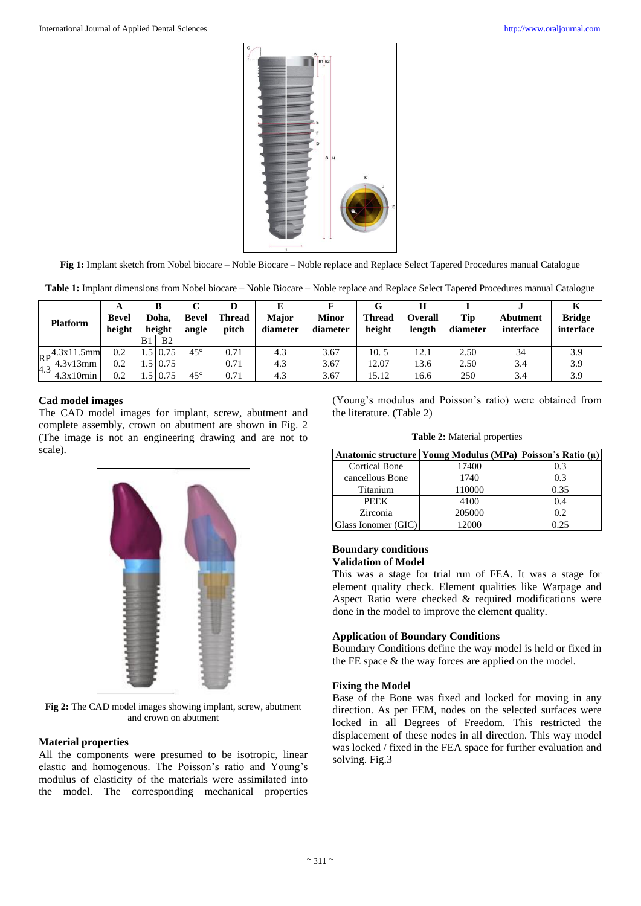

**Fig 1:** Implant sketch from Nobel biocare – Noble Biocare – Noble replace and Replace Select Tapered Procedures manual Catalogue

**Table 1:** Implant dimensions from Nobel biocare – Noble Biocare – Noble replace and Replace Select Tapered Procedures manual Catalogue

|                 |               |                        |    | ĸ               |                       |                        | E                 |                          |                         |                          |                 |                              |                            |
|-----------------|---------------|------------------------|----|-----------------|-----------------------|------------------------|-------------------|--------------------------|-------------------------|--------------------------|-----------------|------------------------------|----------------------------|
| <b>Platform</b> |               | <b>Bevel</b><br>height |    | Doha.<br>height | <b>Bevel</b><br>angle | <b>Thread</b><br>pitch | Major<br>diameter | <b>Minor</b><br>diameter | <b>Thread</b><br>height | <b>Overall</b><br>length | Tip<br>diameter | <b>Abutment</b><br>interface | <b>Bridge</b><br>interface |
|                 |               |                        |    |                 |                       |                        |                   |                          |                         |                          |                 |                              |                            |
|                 |               |                        | B1 | B <sub>2</sub>  |                       |                        |                   |                          |                         |                          |                 |                              |                            |
|                 | $-4.3x11.5mm$ | 0.2                    |    | $.5 \, 0.75$    | $45^{\circ}$          | 0.71                   | 4.3               | 3.67                     | 10.5                    | 12.1                     | 2.50            | 34                           | 3.9                        |
| RP<br>4.3       | 4.3v13mm      | 0.2                    |    | $.5 \, 0.75$    |                       | 0.71                   | 4.3               | 3.67                     | 12.07                   | 13.6                     | 2.50            | 3.4                          | 3.9                        |
|                 | $4.3x10$ rnin | 0.2                    |    | $.5 \, 0.75$    | $45^{\circ}$          | $_{0.71}$              | 4.3               | 3.67                     | 15.12                   | 16.6                     | 250             | 3.4                          | 3.9                        |

## **Cad model images**

The CAD model images for implant, screw, abutment and complete assembly, crown on abutment are shown in Fig. 2 (The image is not an engineering drawing and are not to scale).



**Fig 2:** The CAD model images showing implant, screw, abutment and crown on abutment

## **Material properties**

All the components were presumed to be isotropic, linear elastic and homogenous. The Poisson's ratio and Young's modulus of elasticity of the materials were assimilated into the model. The corresponding mechanical properties

(Young's modulus and Poisson's ratio) were obtained from the literature. (Table 2)

|  |  | Table 2: Material properties |
|--|--|------------------------------|
|--|--|------------------------------|

|                      | Anatomic structure   Young Modulus (MPa)   Poisson's Ratio (μ) |      |
|----------------------|----------------------------------------------------------------|------|
| <b>Cortical Bone</b> | 17400                                                          | 0.3  |
| cancellous Bone      | 1740                                                           | 0.3  |
| Titanium             | 110000                                                         | 0.35 |
| <b>PEEK</b>          | 4100                                                           | 0.4  |
| Zirconia             | 205000                                                         | 0.2  |
| Glass Ionomer (GIC)  | 12000                                                          | 0.25 |

## **Boundary conditions Validation of Model**

This was a stage for trial run of FEA. It was a stage for element quality check. Element qualities like Warpage and Aspect Ratio were checked & required modifications were done in the model to improve the element quality.

## **Application of Boundary Conditions**

Boundary Conditions define the way model is held or fixed in the FE space & the way forces are applied on the model.

## **Fixing the Model**

Base of the Bone was fixed and locked for moving in any direction. As per FEM, nodes on the selected surfaces were locked in all Degrees of Freedom. This restricted the displacement of these nodes in all direction. This way model was locked / fixed in the FEA space for further evaluation and solving. Fig.3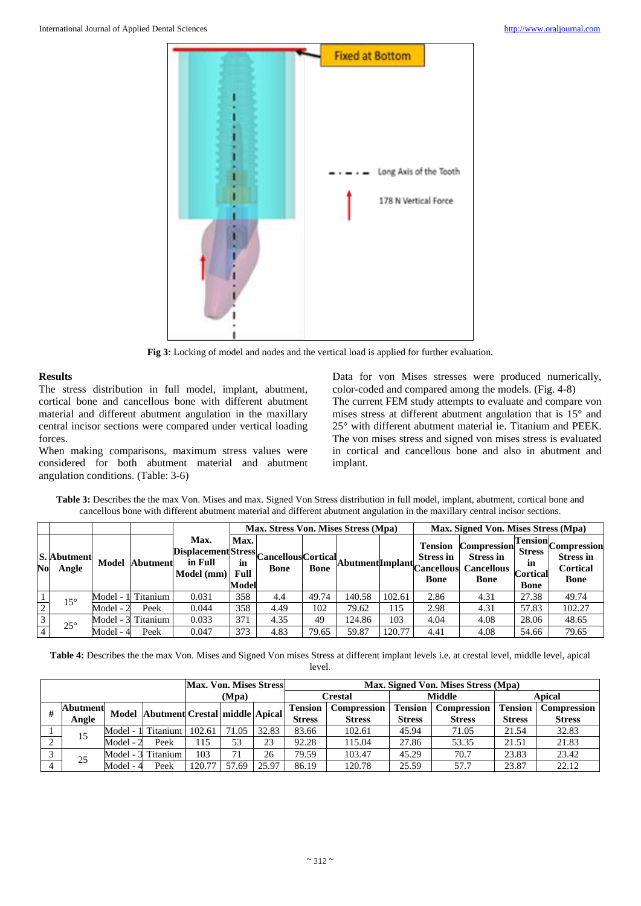

**Fig 3:** Locking of model and nodes and the vertical load is applied for further evaluation.

## **Results**

The stress distribution in full model, implant, abutment, cortical bone and cancellous bone with different abutment material and different abutment angulation in the maxillary central incisor sections were compared under vertical loading forces.

When making comparisons, maximum stress values were considered for both abutment material and abutment angulation conditions. (Table: 3-6)

Data for von Mises stresses were produced numerically, color-coded and compared among the models. (Fig. 4-8) The current FEM study attempts to evaluate and compare von mises stress at different abutment angulation that is 15° and 25° with different abutment material ie. Titanium and PEEK. The von mises stress and signed von mises stress is evaluated in cortical and cancellous bone and also in abutment and implant.

|                |                      |             |                    |                                                                                             |                       | Max. Stress Von. Mises Stress (Mpa) |       |        |        | Max. Signed Von. Mises Stress (Mpa) |                                                                            |                                                                          |                                                                          |
|----------------|----------------------|-------------|--------------------|---------------------------------------------------------------------------------------------|-----------------------|-------------------------------------|-------|--------|--------|-------------------------------------|----------------------------------------------------------------------------|--------------------------------------------------------------------------|--------------------------------------------------------------------------|
| N <sub>0</sub> | S. Abutment<br>Angle | Model       | Abutment           | Max.<br>Displacement Stress Cancellous Cortical Abutment Implant Cancellous r<br>Model (mm) | Max.<br>Full<br>Model |                                     |       |        |        | <b>Tension</b><br><b>Bone</b>       | <b>Compression</b><br><b>Stress in</b><br><b>Cancellous</b><br><b>Bone</b> | $Tension_{\sim}$<br><b>Stress</b><br>m<br><b>Cortical</b><br><b>Bone</b> | <b>Compression</b><br><b>Stress in</b><br><b>Cortical</b><br><b>Bone</b> |
|                | $15^{\circ}$         | Model - 11' | Titanium           | 0.031                                                                                       | 358                   | 4.4                                 | 49.74 | 140.58 | 102.61 | 2.86                                | 4.31                                                                       | 27.38                                                                    | 49.74                                                                    |
| 2              |                      | Model - 2   | Peek               | 0.044                                                                                       | 358                   | 4.49                                | 102   | 79.62  | 115    | 2.98                                | 4.31                                                                       | 57.83                                                                    | 102.27                                                                   |
| 3              | $25^\circ$           |             | Model - 3 Titanium | 0.033                                                                                       | 371                   | 4.35                                | 49    | 124.86 | 103    | 4.04                                | 4.08                                                                       | 28.06                                                                    | 48.65                                                                    |
| $\overline{4}$ |                      | Model - 4   | Peek               | 0.047                                                                                       | 373                   | 4.83                                | 79.65 | 59.87  | 120.77 | 4.41                                | 4.08                                                                       | 54.66                                                                    | 79.65                                                                    |

**Table 3:** Describes the the max Von. Mises and max. Signed Von Stress distribution in full model, implant, abutment, cortical bone and cancellous bone with different abutment material and different abutment angulation in the maxillary central incisor sections.

**Table 4:** Describes the the max Von. Mises and Signed Von mises Stress at different implant levels i.e. at crestal level, middle level, apical level.

|  |                 |           |                                | Max. Von. Mises Stress |       |       | Max. Signed Von. Mises Stress (Mpa) |                    |                |               |                |               |
|--|-----------------|-----------|--------------------------------|------------------------|-------|-------|-------------------------------------|--------------------|----------------|---------------|----------------|---------------|
|  |                 |           |                                | (Mpa)                  |       |       | Crestal                             |                    | Middle         |               | Apical         |               |
|  | <b>Abutment</b> | Model     | Abutment Crestal middle Apical |                        |       |       | <b>Tension</b>                      | <b>Compression</b> | <b>Tension</b> | Compression   | <b>Tension</b> | Compression   |
|  | Angle           |           |                                |                        |       |       | <b>Stress</b>                       | <b>Stress</b>      | <b>Stress</b>  | <b>Stress</b> | <b>Stress</b>  | <b>Stress</b> |
|  | 15              | Model - 1 | l Titanium                     | 102.61                 | 71.05 | 32.83 | 83.66                               | 102.61             | 45.94          | 71.05         | 21.54          | 32.83         |
|  |                 | Model - 2 | Peek                           | 15،                    | 53    | 23    | 92.28                               | 115.04             | 27.86          | 53.35         | 21.51          | 21.83         |
|  | 25              |           | Model - 3 Titanium             | 103                    | 71    | 26    | 79.59                               | 103.47             | 45.29          | 70.7          | 23.83          | 23.42         |
|  |                 | Model - 4 | Peek                           | 120.77                 | 57.69 | 25.97 | 86.19                               | 120.78             | 25.59          | 57.7          | 23.87          | 22.12         |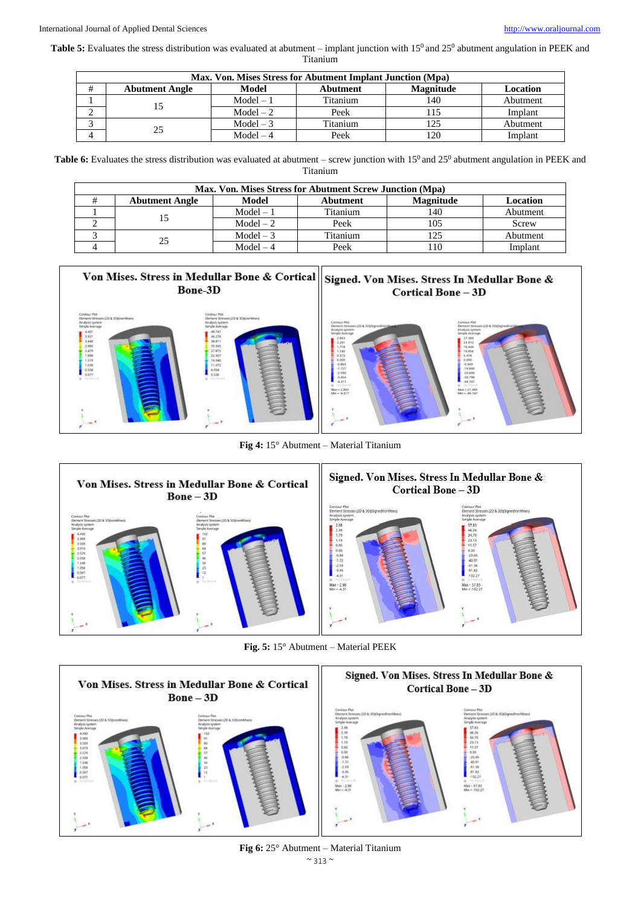Table 5: Evaluates the stress distribution was evaluated at abutment – implant junction with 15<sup>0</sup> and 25<sup>0</sup> abutment angulation in PEEK and

| ' itanium |  |
|-----------|--|
|           |  |
|           |  |

| Max. Von. Mises Stress for Abutment Implant Junction (Mpa) |             |          |                  |          |  |  |  |  |  |  |
|------------------------------------------------------------|-------------|----------|------------------|----------|--|--|--|--|--|--|
| <b>Abutment Angle</b>                                      | Model       | Abutment | <b>Magnitude</b> | Location |  |  |  |  |  |  |
|                                                            | $Model - 1$ | Titanium | 140              | Abutment |  |  |  |  |  |  |
|                                                            | $Model - 2$ | Peek     |                  | Implant  |  |  |  |  |  |  |
| 25                                                         | $Model - 3$ | Titanium | 125              | Abutment |  |  |  |  |  |  |
|                                                            | $Model-4$   | Peek     | 120              | Implant  |  |  |  |  |  |  |

Table 6: Evaluates the stress distribution was evaluated at abutment – screw junction with 15<sup>0</sup> and 25<sup>0</sup> abutment angulation in PEEK and Titanium

| Max. Von. Mises Stress for Abutment Screw Junction (Mpa) |             |          |                  |          |  |  |  |  |  |  |
|----------------------------------------------------------|-------------|----------|------------------|----------|--|--|--|--|--|--|
| <b>Abutment Angle</b>                                    | Model       | Abutment | <b>Magnitude</b> | Location |  |  |  |  |  |  |
|                                                          | $Model - 1$ | Titanium | 140              | Abutment |  |  |  |  |  |  |
|                                                          | $Model - 2$ | Peek     | 105              | Screw    |  |  |  |  |  |  |
| 25                                                       | $Model - 3$ | Titanium |                  | Abutment |  |  |  |  |  |  |
|                                                          | $Model-4$   | Peek     | 10               | Implant  |  |  |  |  |  |  |



**Fig 4:** 15° Abutment – Material Titanium



**Fig. 5:** 15° Abutment – Material PEEK



 $\sim$  313  $\sim$ **Fig 6:** 25° Abutment – Material Titanium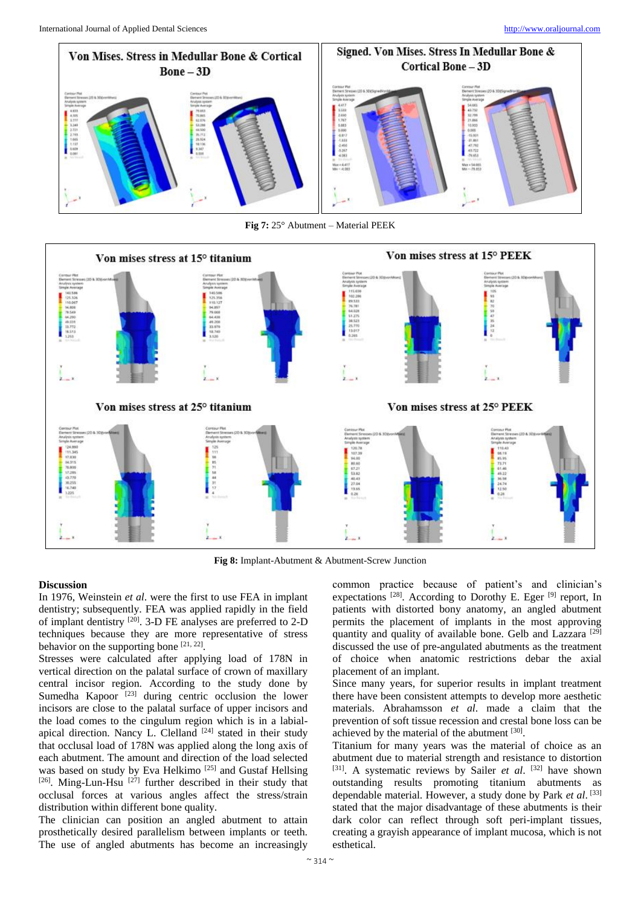

**Fig 7:** 25° Abutment – Material PEEK



**Fig 8:** Implant-Abutment & Abutment-Screw Junction

# **Discussion**

In 1976, Weinstein *et al*. were the first to use FEA in implant dentistry; subsequently. FEA was applied rapidly in the field of implant dentistry [20] . 3-D FE analyses are preferred to 2-D techniques because they are more representative of stress behavior on the supporting bone  $[21, 22]$ .

Stresses were calculated after applying load of 178N in vertical direction on the palatal surface of crown of maxillary central incisor region. According to the study done by Sumedha Kapoor  $^{[23]}$  during centric occlusion the lower incisors are close to the palatal surface of upper incisors and the load comes to the cingulum region which is in a labialapical direction. Nancy L. Clelland  $[24]$  stated in their study that occlusal load of 178N was applied along the long axis of each abutment. The amount and direction of the load selected was based on study by Eva Helkimo<sup>[25]</sup> and Gustaf Hellsing [26]. Ming-Lun-Hsu<sup>[27]</sup> further described in their study that occlusal forces at various angles affect the stress/strain distribution within different bone quality.

The clinician can position an angled abutment to attain prosthetically desired parallelism between implants or teeth. The use of angled abutments has become an increasingly

common practice because of patient's and clinician's expectations <sup>[28]</sup>. According to Dorothy E. Eger <sup>[9]</sup> report, In patients with distorted bony anatomy, an angled abutment permits the placement of implants in the most approving quantity and quality of available bone. Gelb and Lazzara<sup>[29]</sup> discussed the use of pre-angulated abutments as the treatment of choice when anatomic restrictions debar the axial placement of an implant.

Since many years, for superior results in implant treatment there have been consistent attempts to develop more aesthetic materials. Abrahamsson *et al*. made a claim that the prevention of soft tissue recession and crestal bone loss can be achieved by the material of the abutment [30].

Titanium for many years was the material of choice as an abutment due to material strength and resistance to distortion [31]. A systematic reviews by Sailer *et al.* [32] have shown outstanding results promoting titanium abutments as dependable material. However, a study done by Park *et al*. [33] stated that the major disadvantage of these abutments is their dark color can reflect through soft peri-implant tissues, creating a grayish appearance of implant mucosa, which is not esthetical.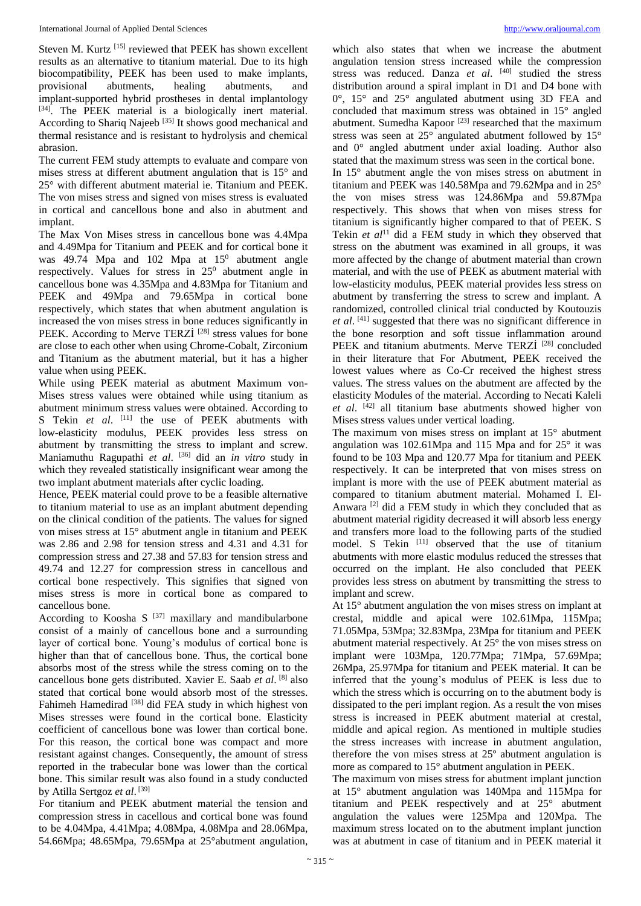Steven M. Kurtz<sup>[15]</sup> reviewed that PEEK has shown excellent results as an alternative to titanium material. Due to its high biocompatibility, PEEK has been used to make implants, provisional abutments, healing abutments, and implant-supported hybrid prostheses in dental implantology [34]. The PEEK material is a biologically inert material. According to Shariq Najeeb<sup>[35]</sup> It shows good mechanical and thermal resistance and is resistant to hydrolysis and chemical abrasion.

The current FEM study attempts to evaluate and compare von mises stress at different abutment angulation that is 15° and 25° with different abutment material ie. Titanium and PEEK. The von mises stress and signed von mises stress is evaluated in cortical and cancellous bone and also in abutment and implant.

The Max Von Mises stress in cancellous bone was 4.4Mpa and 4.49Mpa for Titanium and PEEK and for cortical bone it was  $49.74$  Mpa and  $102$  Mpa at  $15^0$  abutment angle respectively. Values for stress in  $25^{\circ}$  abutment angle in cancellous bone was 4.35Mpa and 4.83Mpa for Titanium and PEEK and 49Mpa and 79.65Mpa in cortical bone respectively, which states that when abutment angulation is increased the von mises stress in bone reduces significantly in PEEK. According to Merve TERZİ<sup>[28]</sup> stress values for bone are close to each other when using Chrome-Cobalt, Zirconium and Titanium as the abutment material, but it has a higher value when using PEEK.

While using PEEK material as abutment Maximum von-Mises stress values were obtained while using titanium as abutment minimum stress values were obtained. According to S Tekin et al. [11] the use of PEEK abutments with low-elasticity modulus, PEEK provides less stress on abutment by transmitting the stress to implant and screw. Maniamuthu Ragupathi *et al*. [36] did an *in vitro* study in which they revealed statistically insignificant wear among the two implant abutment materials after cyclic loading.

Hence, PEEK material could prove to be a feasible alternative to titanium material to use as an implant abutment depending on the clinical condition of the patients. The values for signed von mises stress at 15° abutment angle in titanium and PEEK was 2.86 and 2.98 for tension stress and 4.31 and 4.31 for compression stress and 27.38 and 57.83 for tension stress and 49.74 and 12.27 for compression stress in cancellous and cortical bone respectively. This signifies that signed von mises stress is more in cortical bone as compared to cancellous bone.

According to Koosha S  $[37]$  maxillary and mandibularbone consist of a mainly of cancellous bone and a surrounding layer of cortical bone. Young's modulus of cortical bone is higher than that of cancellous bone. Thus, the cortical bone absorbs most of the stress while the stress coming on to the cancellous bone gets distributed. Xavier E. Saab *et al*. [8] also stated that cortical bone would absorb most of the stresses. Fahimeh Hamedirad [38] did FEA study in which highest von Mises stresses were found in the cortical bone. Elasticity coefficient of cancellous bone was lower than cortical bone. For this reason, the cortical bone was compact and more resistant against changes. Consequently, the amount of stress reported in the trabecular bone was lower than the cortical bone. This similar result was also found in a study conducted by Atilla Sertgoz *et al*. [39]

For titanium and PEEK abutment material the tension and compression stress in cacellous and cortical bone was found to be 4.04Mpa, 4.41Mpa; 4.08Mpa, 4.08Mpa and 28.06Mpa, 54.66Mpa; 48.65Mpa, 79.65Mpa at 25°abutment angulation,

which also states that when we increase the abutment angulation tension stress increased while the compression stress was reduced. Danza et al. <sup>[40]</sup> studied the stress distribution around a spiral implant in D1 and D4 bone with 0°, 15° and 25° angulated abutment using 3D FEA and concluded that maximum stress was obtained in 15° angled abutment. Sumedha Kapoor<sup>[23]</sup> researched that the maximum stress was seen at 25° angulated abutment followed by 15° and 0° angled abutment under axial loading. Author also stated that the maximum stress was seen in the cortical bone.

In 15° abutment angle the von mises stress on abutment in titanium and PEEK was 140.58Mpa and 79.62Mpa and in 25° the von mises stress was 124.86Mpa and 59.87Mpa respectively. This shows that when von mises stress for titanium is significantly higher compared to that of PEEK. S Tekin *et al*<sup>11</sup> did a FEM study in which they observed that stress on the abutment was examined in all groups, it was more affected by the change of abutment material than crown material, and with the use of PEEK as abutment material with low-elasticity modulus, PEEK material provides less stress on abutment by transferring the stress to screw and implant. A randomized, controlled clinical trial conducted by Koutouzis *et al*. [41] suggested that there was no significant difference in the bone resorption and soft tissue inflammation around PEEK and titanium abutments. Merve TERZİ<sup>[28]</sup> concluded in their literature that For Abutment, PEEK received the lowest values where as Co-Cr received the highest stress values. The stress values on the abutment are affected by the elasticity Modules of the material. According to Necati Kaleli *et al*. [42] all titanium base abutments showed higher von Mises stress values under vertical loading.

The maximum von mises stress on implant at 15° abutment angulation was 102.61Mpa and 115 Mpa and for 25° it was found to be 103 Mpa and 120.77 Mpa for titanium and PEEK respectively. It can be interpreted that von mises stress on implant is more with the use of PEEK abutment material as compared to titanium abutment material. Mohamed I. El-Anwara [2] did a FEM study in which they concluded that as abutment material rigidity decreased it will absorb less energy and transfers more load to the following parts of the studied model. S Tekin [11] observed that the use of titanium abutments with more elastic modulus reduced the stresses that occurred on the implant. He also concluded that PEEK provides less stress on abutment by transmitting the stress to implant and screw.

At 15° abutment angulation the von mises stress on implant at crestal, middle and apical were 102.61Mpa, 115Mpa; 71.05Mpa, 53Mpa; 32.83Mpa, 23Mpa for titanium and PEEK abutment material respectively. At 25° the von mises stress on implant were 103Mpa, 120.77Mpa; 71Mpa, 57.69Mpa; 26Mpa, 25.97Mpa for titanium and PEEK material. It can be inferred that the young's modulus of PEEK is less due to which the stress which is occurring on to the abutment body is dissipated to the peri implant region. As a result the von mises stress is increased in PEEK abutment material at crestal, middle and apical region. As mentioned in multiple studies the stress increases with increase in abutment angulation, therefore the von mises stress at 25º abutment angulation is more as compared to 15° abutment angulation in PEEK.

The maximum von mises stress for abutment implant junction at 15° abutment angulation was 140Mpa and 115Mpa for titanium and PEEK respectively and at 25° abutment angulation the values were 125Mpa and 120Mpa. The maximum stress located on to the abutment implant junction was at abutment in case of titanium and in PEEK material it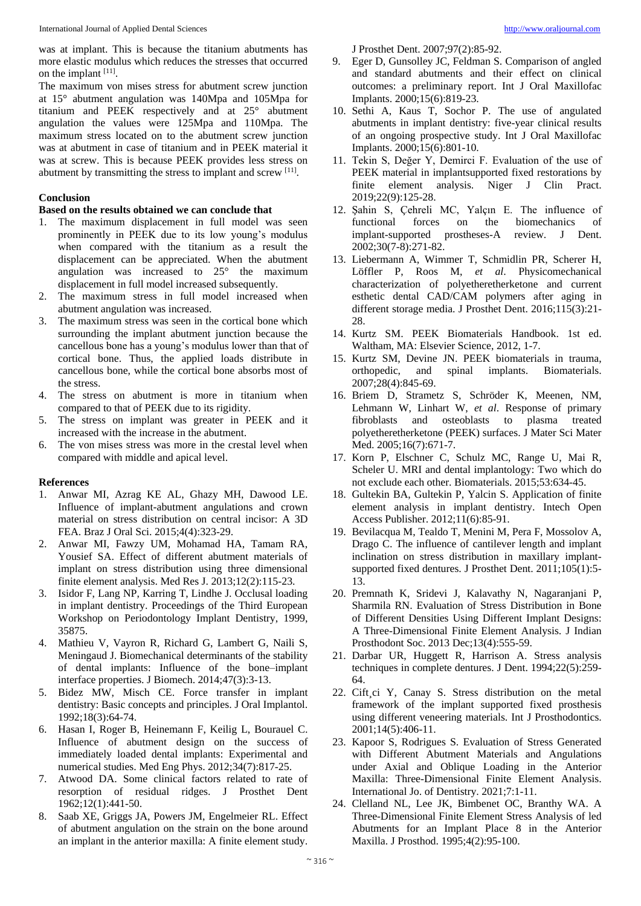was at implant. This is because the titanium abutments has more elastic modulus which reduces the stresses that occurred on the implant [11].

The maximum von mises stress for abutment screw junction at 15° abutment angulation was 140Mpa and 105Mpa for titanium and PEEK respectively and at 25° abutment angulation the values were 125Mpa and 110Mpa. The maximum stress located on to the abutment screw junction was at abutment in case of titanium and in PEEK material it was at screw. This is because PEEK provides less stress on abutment by transmitting the stress to implant and screw [11].

# **Conclusion**

#### **Based on the results obtained we can conclude that**

- 1. The maximum displacement in full model was seen prominently in PEEK due to its low young's modulus when compared with the titanium as a result the displacement can be appreciated. When the abutment angulation was increased to 25° the maximum displacement in full model increased subsequently.
- 2. The maximum stress in full model increased when abutment angulation was increased.
- 3. The maximum stress was seen in the cortical bone which surrounding the implant abutment junction because the cancellous bone has a young's modulus lower than that of cortical bone. Thus, the applied loads distribute in cancellous bone, while the cortical bone absorbs most of the stress.
- 4. The stress on abutment is more in titanium when compared to that of PEEK due to its rigidity.
- 5. The stress on implant was greater in PEEK and it increased with the increase in the abutment.
- 6. The von mises stress was more in the crestal level when compared with middle and apical level.

## **References**

- 1. Anwar MI, Azrag KE AL, Ghazy MH, Dawood LE. Influence of implant-abutment angulations and crown material on stress distribution on central incisor: A 3D FEA. Braz J Oral Sci. 2015;4(4):323-29.
- 2. Anwar MI, Fawzy UM, Mohamad HA, Tamam RA, Yousief SA. Effect of different abutment materials of implant on stress distribution using three dimensional finite element analysis. Med Res J. 2013;12(2):115-23.
- 3. Isidor F, Lang NP, Karring T, Lindhe J. Occlusal loading in implant dentistry. Proceedings of the Third European Workshop on Periodontology Implant Dentistry, 1999, 35875.
- 4. Mathieu V, Vayron R, Richard G, Lambert G, Naili S, Meningaud J. Biomechanical determinants of the stability of dental implants: Influence of the bone–implant interface properties. J Biomech. 2014;47(3):3-13.
- 5. Bidez MW, Misch CE. Force transfer in implant dentistry: Basic concepts and principles. J Oral Implantol. 1992;18(3):64-74.
- 6. Hasan I, Roger B, Heinemann F, Keilig L, Bourauel C. Influence of abutment design on the success of immediately loaded dental implants: Experimental and numerical studies. Med Eng Phys. 2012;34(7):817-25.
- 7. Atwood DA. Some clinical factors related to rate of resorption of residual ridges. J Prosthet Dent 1962;12(1):441-50.
- 8. Saab XE, Griggs JA, Powers JM, Engelmeier RL. Effect of abutment angulation on the strain on the bone around an implant in the anterior maxilla: A finite element study.

J Prosthet Dent. 2007;97(2):85-92.

- 9. Eger D, Gunsolley JC, Feldman S. Comparison of angled and standard abutments and their effect on clinical outcomes: a preliminary report. Int J Oral Maxillofac Implants. 2000;15(6):819-23.
- 10. Sethi A, Kaus T, Sochor P. The use of angulated abutments in implant dentistry: five-year clinical results of an ongoing prospective study. Int J Oral Maxillofac Implants. 2000;15(6):801-10.
- 11. Tekin S, Değer Y, Demirci F. Evaluation of the use of PEEK material in implantsupported fixed restorations by finite element analysis. Niger J Clin Pract. 2019;22(9):125-28.
- 12. Şahin S, Çehreli MC, Yalçın E. The influence of functional forces on the biomechanics of implant-supported prostheses-A review. J Dent. 2002;30(7-8):271-82.
- 13. Liebermann A, Wimmer T, Schmidlin PR, Scherer H, Löffler P, Roos M, *et al*. Physicomechanical characterization of polyetheretherketone and current esthetic dental CAD/CAM polymers after aging in different storage media. J Prosthet Dent. 2016;115(3):21- 28.
- 14. Kurtz SM. PEEK Biomaterials Handbook. 1st ed. Waltham, MA: Elsevier Science, 2012, 1-7.
- 15. Kurtz SM, Devine JN. PEEK biomaterials in trauma, orthopedic, and spinal implants. Biomaterials. 2007;28(4):845-69.
- 16. Briem D, Strametz S, Schröder K, Meenen, NM, Lehmann W, Linhart W, *et al*. Response of primary fibroblasts and osteoblasts to plasma treated polyetheretherketone (PEEK) surfaces. J Mater Sci Mater Med. 2005;16(7):671-7.
- 17. Korn P, Elschner C, Schulz MC, Range U, Mai R, Scheler U. MRI and dental implantology: Two which do not exclude each other. Biomaterials. 2015;53:634-45.
- 18. Gultekin BA, Gultekin P, Yalcin S. Application of finite element analysis in implant dentistry. Intech Open Access Publisher. 2012;11(6):85-91.
- 19. Bevilacqua M, Tealdo T, Menini M, Pera F, Mossolov A, Drago C. The influence of cantilever length and implant inclination on stress distribution in maxillary implantsupported fixed dentures. J Prosthet Dent. 2011;105(1):5- 13.
- 20. Premnath K, Sridevi J, Kalavathy N, Nagaranjani P, Sharmila RN. Evaluation of Stress Distribution in Bone of Different Densities Using Different Implant Designs: A Three-Dimensional Finite Element Analysis. J Indian Prosthodont Soc. 2013 Dec;13(4):555-59.
- 21. Darbar UR, Huggett R, Harrison A. Stress analysis techniques in complete dentures. J Dent. 1994;22(5):259- 64.
- 22. Cift¸ci Y, Canay S. Stress distribution on the metal framework of the implant supported fixed prosthesis using different veneering materials. Int J Prosthodontics. 2001;14(5):406-11.
- 23. Kapoor S, Rodrigues S. Evaluation of Stress Generated with Different Abutment Materials and Angulations under Axial and Oblique Loading in the Anterior Maxilla: Three-Dimensional Finite Element Analysis. International Jo. of Dentistry. 2021;7:1-11.
- 24. Clelland NL, Lee JK, Bimbenet OC, Branthy WA. A Three-Dimensional Finite Element Stress Analysis of led Abutments for an Implant Place 8 in the Anterior Maxilla. J Prosthod. 1995;4(2):95-100.